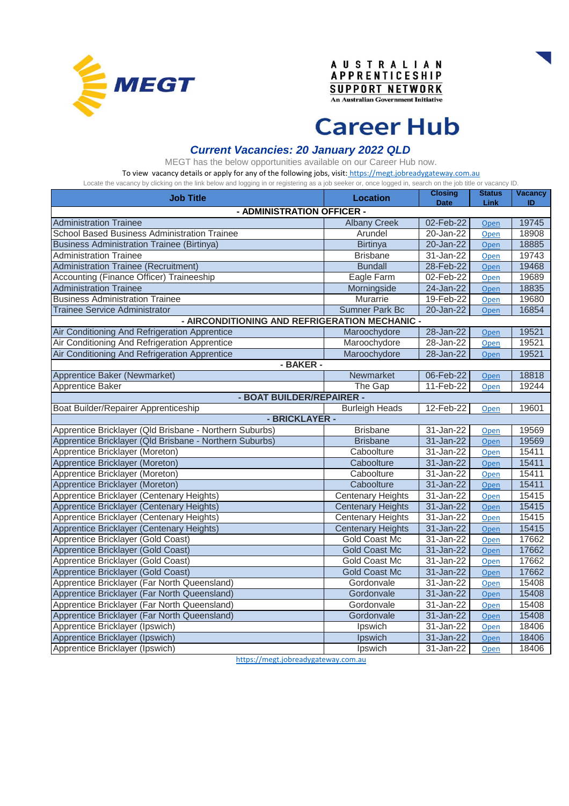





# **Career Hub**

#### *Current Vacancies: 20 January 2022 QLD*

MEGT has the below opportunities available on our Career Hub now.

[To view vacancy details or apply for any of the following jobs, visit:](https://megt.jobreadygateway.com.au/) https://megt.jobreadygateway.com.au Locate the vacancy by clicking on the link below and logging in or registering as a job seeker or, once logged in, search on the job title or vacancy ID.

| Lovald the vavarier by vilvinity off the limit below and logging in or registering as a job section of, once logged in, search on the job title or vavarier is. |                          | <b>Closing</b>          | <b>Status</b> | <b>Vacancy</b> |  |
|-----------------------------------------------------------------------------------------------------------------------------------------------------------------|--------------------------|-------------------------|---------------|----------------|--|
| <b>Job Title</b>                                                                                                                                                | <b>Location</b>          | <b>Date</b>             | Link          | ID             |  |
| - ADMINISTRATION OFFICER -                                                                                                                                      |                          |                         |               |                |  |
| <b>Administration Trainee</b>                                                                                                                                   | <b>Albany Creek</b>      | 02-Feb-22               | Open          | 19745          |  |
| School Based Business Administration Trainee                                                                                                                    | Arundel                  | 20-Jan-22               | Open          | 18908          |  |
| <b>Business Administration Trainee (Birtinya)</b>                                                                                                               | <b>Birtinya</b>          | 20-Jan-22               | Open          | 18885          |  |
| <b>Administration Trainee</b>                                                                                                                                   | <b>Brisbane</b>          | 31-Jan-22               | Open          | 19743          |  |
| <b>Administration Trainee (Recruitment)</b>                                                                                                                     | <b>Bundall</b>           | 28-Feb-22               | Open          | 19468          |  |
| Accounting (Finance Officer) Traineeship                                                                                                                        | Eagle Farm               | 02-Feb-22               | Open          | 19689          |  |
| <b>Administration Trainee</b>                                                                                                                                   | Morningside              | 24-Jan-22               | Open          | 18835          |  |
| <b>Business Administration Trainee</b>                                                                                                                          | Murarrie                 | 19-Feb-22               | Open          | 19680          |  |
| <b>Trainee Service Administrator</b>                                                                                                                            | <b>Sumner Park Bc</b>    | 20-Jan-22               | Open          | 16854          |  |
| - AIRCONDITIONING AND REFRIGERATION MECHANIC -                                                                                                                  |                          |                         |               |                |  |
| Air Conditioning And Refrigeration Apprentice                                                                                                                   | Maroochydore             | 28-Jan-22               | Open          | 19521          |  |
| Air Conditioning And Refrigeration Apprentice                                                                                                                   | Maroochydore             | 28-Jan-22               | Open          | 19521          |  |
| Air Conditioning And Refrigeration Apprentice                                                                                                                   | Maroochydore             | 28-Jan-22               | Open          | 19521          |  |
| - BAKER -                                                                                                                                                       |                          |                         |               |                |  |
| Apprentice Baker (Newmarket)                                                                                                                                    | Newmarket                | 06-Feb-22               | Open          | 18818          |  |
| Apprentice Baker                                                                                                                                                | The Gap                  | 11-Feb-22               | Open          | 19244          |  |
| - BOAT BUILDER/REPAIRER -                                                                                                                                       |                          |                         |               |                |  |
| Boat Builder/Repairer Apprenticeship                                                                                                                            | <b>Burleigh Heads</b>    | 12-Feb-22               | Open          | 19601          |  |
| - BRICKLAYER -                                                                                                                                                  |                          |                         |               |                |  |
| Apprentice Bricklayer (Qld Brisbane - Northern Suburbs)                                                                                                         | <b>Brisbane</b>          | 31-Jan-22               | Open          | 19569          |  |
| Apprentice Bricklayer (Qld Brisbane - Northern Suburbs)                                                                                                         | <b>Brisbane</b>          | $31$ -Jan- $22$         | Open          | 19569          |  |
| Apprentice Bricklayer (Moreton)                                                                                                                                 | Caboolture               | 31-Jan-22               | Open          | 15411          |  |
| Apprentice Bricklayer (Moreton)                                                                                                                                 | Caboolture               | 31-Jan-22               | Open          | 15411          |  |
| Apprentice Bricklayer (Moreton)                                                                                                                                 | Caboolture               | 31-Jan-22               | Open          | 15411          |  |
| Apprentice Bricklayer (Moreton)                                                                                                                                 | Caboolture               | 31-Jan-22               | Open          | 15411          |  |
| Apprentice Bricklayer (Centenary Heights)                                                                                                                       | <b>Centenary Heights</b> | 31-Jan-22               | Open          | 15415          |  |
| Apprentice Bricklayer (Centenary Heights)                                                                                                                       | <b>Centenary Heights</b> | 31-Jan-22               | Open          | 15415          |  |
| Apprentice Bricklayer (Centenary Heights)                                                                                                                       | <b>Centenary Heights</b> | $\overline{3}$ 1-Jan-22 | Open          | 15415          |  |
| Apprentice Bricklayer (Centenary Heights)                                                                                                                       | <b>Centenary Heights</b> | 31-Jan-22               | Open          | 15415          |  |
| Apprentice Bricklayer (Gold Coast)                                                                                                                              | Gold Coast Mc            | 31-Jan-22               | Open          | 17662          |  |
| Apprentice Bricklayer (Gold Coast)                                                                                                                              | <b>Gold Coast Mc</b>     | 31-Jan-22               | Open          | 17662          |  |
| Apprentice Bricklayer (Gold Coast)                                                                                                                              | Gold Coast Mc            | $\overline{3}$ 1-Jan-22 | Open          | 17662          |  |
| Apprentice Bricklayer (Gold Coast)                                                                                                                              | <b>Gold Coast Mc</b>     | 31-Jan-22               | Open          | 17662          |  |
| Apprentice Bricklayer (Far North Queensland)                                                                                                                    | Gordonvale               | 31-Jan-22               | Open          | 15408          |  |
| Apprentice Bricklayer (Far North Queensland)                                                                                                                    | Gordonvale               | 31-Jan-22               | Open          | 15408          |  |
| Apprentice Bricklayer (Far North Queensland)                                                                                                                    | Gordonvale               | 31-Jan-22               | Open          | 15408          |  |
| Apprentice Bricklayer (Far North Queensland)                                                                                                                    | Gordonvale               | 31-Jan-22               | Open          | 15408          |  |
| Apprentice Bricklayer (Ipswich)                                                                                                                                 | Ipswich                  | 31-Jan-22               | Open          | 18406          |  |
| Apprentice Bricklayer (Ipswich)                                                                                                                                 | <b>Ipswich</b>           | 31-Jan-22               | Open          | 18406          |  |
| Apprentice Bricklayer (Ipswich)                                                                                                                                 | Ipswich                  | $31 - Jan-22$           | Open          | 18406          |  |

[https://megt.jobreadygate](https://megt.jobreadygateway.com.au/)way.com.au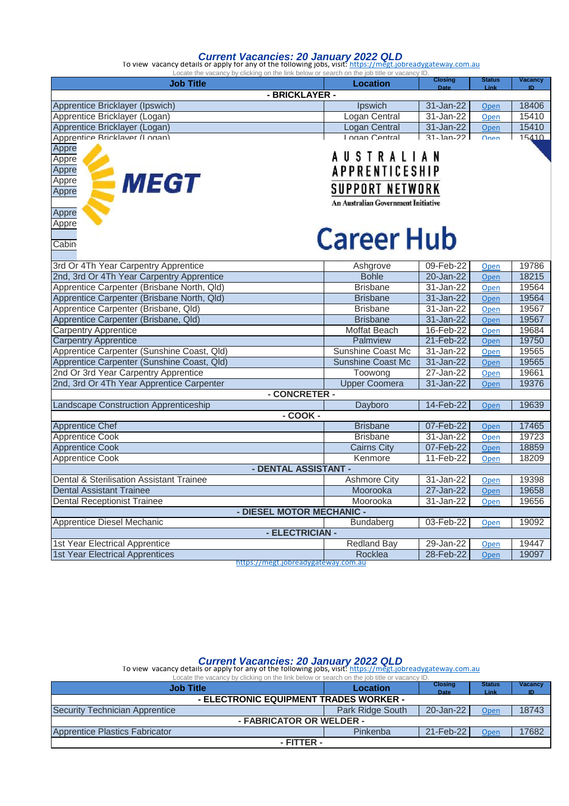#### *Current Vacancies: 20 January 2022 QLD*

To view vacancy details or apply for any of the following jobs, visit: <u>https://megt.jobreadygateway.com.au</u>

| Locate the vacancy by clicking on the link below or search on the job title or vacancy ID |                                     | <b>Closing</b>        | <b>Status</b> | <b>Vacancy</b> |  |  |
|-------------------------------------------------------------------------------------------|-------------------------------------|-----------------------|---------------|----------------|--|--|
| <b>Job Title</b>                                                                          | <b>Location</b>                     | <b>Date</b>           | Link          | <b>ID</b>      |  |  |
|                                                                                           | - BRICKLAYER -                      |                       |               |                |  |  |
| Apprentice Bricklayer (Ipswich)                                                           | Ipswich                             | 31-Jan-22             | Open          | 18406          |  |  |
| Apprentice Bricklayer (Logan)                                                             | Logan Central                       | 31-Jan-22             | Open          | 15410          |  |  |
| Apprentice Bricklayer (Logan)                                                             | Logan Central                       | 31-Jan-22             | Open          | 15410          |  |  |
| Apprentice Bricklaver (I ogan)                                                            | Logan Central                       | $31 -$ Jan-22         | Onen          | 15410          |  |  |
| Appre                                                                                     |                                     |                       |               |                |  |  |
| Appre                                                                                     | USTRALIAN                           |                       |               |                |  |  |
| Appre                                                                                     |                                     | <b>APPRENTICESHIP</b> |               |                |  |  |
| <b>MEGT</b><br>Appre                                                                      |                                     |                       |               |                |  |  |
| Appre                                                                                     | SUPPORT NETWORK                     |                       |               |                |  |  |
|                                                                                           | An Australian Government Initiative |                       |               |                |  |  |
| Appre                                                                                     |                                     |                       |               |                |  |  |
| Appre                                                                                     |                                     |                       |               |                |  |  |
|                                                                                           | <b>Career Hub</b>                   |                       |               |                |  |  |
| Cabin                                                                                     |                                     |                       |               |                |  |  |
|                                                                                           |                                     |                       |               |                |  |  |
| 3rd Or 4Th Year Carpentry Apprentice                                                      | Ashgrove                            | 09-Feb-22             | Open          | 19786          |  |  |
| 2nd, 3rd Or 4Th Year Carpentry Apprentice                                                 | <b>Bohle</b>                        | 20-Jan-22             | Open          | 18215          |  |  |
| Apprentice Carpenter (Brisbane North, Qld)                                                | <b>Brisbane</b>                     | 31-Jan-22             | Open          | 19564          |  |  |
| Apprentice Carpenter (Brisbane North, Qld)                                                | <b>Brisbane</b>                     | 31-Jan-22             | Open          | 19564          |  |  |
| Apprentice Carpenter (Brisbane, Qld)                                                      | <b>Brisbane</b>                     | 31-Jan-22             | <u>Open</u>   | 19567          |  |  |
| Apprentice Carpenter (Brisbane, Qld)                                                      | <b>Brisbane</b>                     | 31-Jan-22             | Open          | 19567          |  |  |
| <b>Carpentry Apprentice</b>                                                               | Moffat Beach                        | 16-Feb-22             | Open          | 19684          |  |  |
| <b>Carpentry Apprentice</b>                                                               | Palmview                            | 21-Feb-22             | Open          | 19750          |  |  |
| Apprentice Carpenter (Sunshine Coast, Qld)                                                | Sunshine Coast Mc                   | 31-Jan-22             | Open          | 19565          |  |  |
| Apprentice Carpenter (Sunshine Coast, Qld)                                                | <b>Sunshine Coast Mc</b>            | 31-Jan-22             | Open          | 19565          |  |  |
| 2nd Or 3rd Year Carpentry Apprentice                                                      | Toowong                             | 27-Jan-22             | Open          | 19661          |  |  |
| 2nd, 3rd Or 4Th Year Apprentice Carpenter                                                 | <b>Upper Coomera</b>                | 31-Jan-22             | Open          | 19376          |  |  |
|                                                                                           | - CONCRETER -                       |                       |               |                |  |  |
| Landscape Construction Apprenticeship                                                     | Dayboro                             | 14-Feb-22             | Open          | 19639          |  |  |
|                                                                                           | $-COOK -$                           |                       |               |                |  |  |
| <b>Apprentice Chef</b>                                                                    | <b>Brisbane</b>                     | 07-Feb-22             | Open          | 17465          |  |  |
| <b>Apprentice Cook</b>                                                                    | <b>Brisbane</b>                     | 31-Jan-22             | Open          | 19723          |  |  |
| <b>Apprentice Cook</b>                                                                    | <b>Cairns City</b>                  | 07-Feb-22             | Open          | 18859          |  |  |
| <b>Apprentice Cook</b>                                                                    | Kenmore                             | 11-Feb-22             | Open          | 18209          |  |  |
|                                                                                           | - DENTAL ASSISTANT -                |                       |               |                |  |  |
| Dental & Sterilisation Assistant Trainee                                                  | <b>Ashmore City</b>                 | 31-Jan-22             | Open          | 19398          |  |  |
| <b>Dental Assistant Trainee</b>                                                           | Moorooka                            | 27-Jan-22             | Open          | 19658          |  |  |
| <b>Dental Receptionist Trainee</b>                                                        | Moorooka                            | 31-Jan-22             | Open          | 19656          |  |  |
|                                                                                           | - DIESEL MOTOR MECHANIC -           |                       |               |                |  |  |
| Apprentice Diesel Mechanic                                                                | <b>Bundaberg</b>                    | 03-Feb-22             | Open          | 19092          |  |  |
|                                                                                           | - ELECTRICIAN -                     |                       |               |                |  |  |
| 1st Year Electrical Apprentice                                                            | <b>Redland Bay</b>                  | 29-Jan-22             | Open          | 19447          |  |  |
| <b>1st Year Electrical Apprentices</b>                                                    | Rocklea                             | $28$ -Feb-22          | Open          | 19097          |  |  |
| https://megt.jobreadygateway.com.au                                                       |                                     |                       |               |                |  |  |

*Current Vacancies: 20 January 2022 QLD* [To view vacancy details or apply for any of the following jobs, visit: h](https://megt.jobreadygateway.com.au/)ttps://megt.jobreadygateway.com.au

| Locate the vacancy by clicking on the link below or search on the job title or vacancy ID. |                  |                |               |         |  |
|--------------------------------------------------------------------------------------------|------------------|----------------|---------------|---------|--|
| <b>Job Title</b>                                                                           | Location         | <b>Closing</b> | <b>Status</b> | Vacancy |  |
|                                                                                            |                  | <b>Date</b>    | Link          | ID.     |  |
| - ELECTRONIC EQUIPMENT TRADES WORKER -                                                     |                  |                |               |         |  |
| Security Technician Apprentice                                                             | Park Ridge South | 20-Jan-22      | Open          | 18743   |  |
| - FABRICATOR OR WELDER -                                                                   |                  |                |               |         |  |
| Apprentice Plastics Fabricator                                                             | Pinkenba         | 21-Feb-22      | Open          | 17682   |  |
| - FITTER -                                                                                 |                  |                |               |         |  |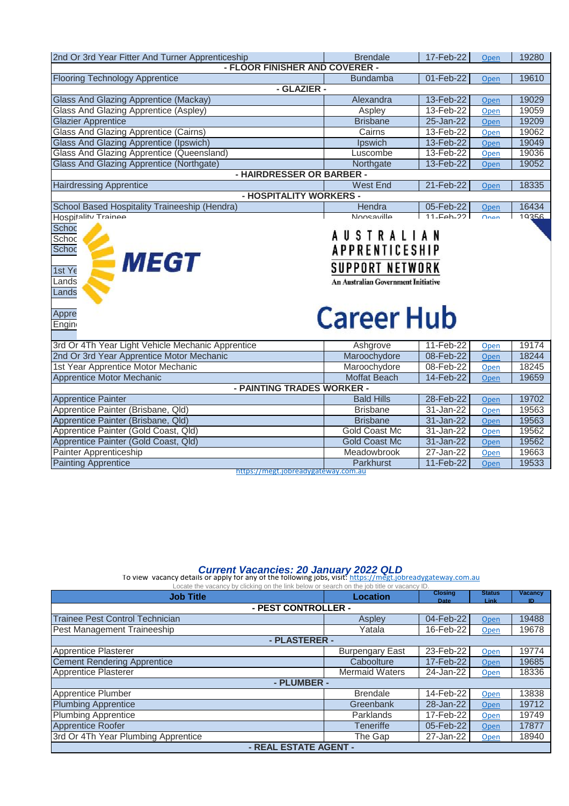| 2nd Or 3rd Year Fitter And Turner Apprenticeship                  | <b>Brendale</b>                            | 17-Feb-22   | Open         | 19280 |  |  |
|-------------------------------------------------------------------|--------------------------------------------|-------------|--------------|-------|--|--|
| - FLOOR FINISHER AND COVERER -                                    |                                            |             |              |       |  |  |
| <b>Flooring Technology Apprentice</b>                             | <b>Bundamba</b>                            | 01-Feb-22   | Open         | 19610 |  |  |
| - GLAZIER -                                                       |                                            |             |              |       |  |  |
| <b>Glass And Glazing Apprentice (Mackay)</b>                      | Alexandra                                  | 13-Feb-22   | Open         | 19029 |  |  |
| Glass And Glazing Apprentice (Aspley)                             | Aspley                                     | 13-Feb-22   | Open         | 19059 |  |  |
| <b>Glazier Apprentice</b>                                         | <b>Brisbane</b>                            | 25-Jan-22   | Open         | 19209 |  |  |
| Glass And Glazing Apprentice (Cairns)                             | Cairns                                     | 13-Feb-22   | Open         | 19062 |  |  |
| <b>Glass And Glazing Apprentice (Ipswich)</b>                     | Ipswich                                    | 13-Feb-22   | Open         | 19049 |  |  |
| Glass And Glazing Apprentice (Queensland)                         | Luscombe                                   | 13-Feb-22   | Open         | 19036 |  |  |
| <b>Glass And Glazing Apprentice (Northgate)</b>                   | Northgate                                  | 13-Feb-22   | Open         | 19052 |  |  |
| - HAIRDRESSER OR BARBER -                                         |                                            |             |              |       |  |  |
| <b>Hairdressing Apprentice</b>                                    | <b>West End</b>                            | 21-Feb-22   | Open         | 18335 |  |  |
| - HOSPITALITY WORKERS -                                           |                                            |             |              |       |  |  |
| School Based Hospitality Traineeship (Hendra)                     | Hendra                                     | 05-Feb-22   | Open         | 16434 |  |  |
| Hospitality Trainee                                               | Noosaville                                 | $11-Feh-22$ | <b>Onen</b>  | 19356 |  |  |
| Schoc<br><b>AUSTRALIAN</b><br>Schoc                               |                                            |             |              |       |  |  |
| <b>APPRENTICESHIP</b><br>Schoc<br><b>MEGT</b>                     |                                            |             |              |       |  |  |
|                                                                   | <b>SUPPORT NETWORK</b>                     |             |              |       |  |  |
| 1st Ye                                                            |                                            |             |              |       |  |  |
| Lands                                                             | <b>An Australian Government Initiative</b> |             |              |       |  |  |
| Lands                                                             |                                            |             |              |       |  |  |
| Appre                                                             |                                            |             |              |       |  |  |
| <b>Engin</b>                                                      | <b>Career Hub</b>                          |             |              |       |  |  |
|                                                                   |                                            | 11-Feb-22   |              | 19174 |  |  |
| 3rd Or 4Th Year Light Vehicle Mechanic Apprentice                 | Ashgrove                                   | 08-Feb-22   | Open<br>Open | 18244 |  |  |
| 2nd Or 3rd Year Apprentice Motor Mechanic                         | Maroochydore                               | 08-Feb-22   | Open         | 18245 |  |  |
| 1st Year Apprentice Motor Mechanic                                | Maroochydore                               |             |              |       |  |  |
| Apprentice Motor Mechanic<br>- PAINTING TRADES WORKER -           | Moffat Beach                               | 14-Feb-22   | Open         | 19659 |  |  |
| <b>Apprentice Painter</b>                                         | <b>Bald Hills</b>                          | 28-Feb-22   | Open         | 19702 |  |  |
| Apprentice Painter (Brisbane, Qld)                                | <b>Brisbane</b>                            | 31-Jan-22   | Open         | 19563 |  |  |
| Apprentice Painter (Brisbane, Qld)                                | <b>Brisbane</b>                            | 31-Jan-22   | Open         | 19563 |  |  |
| Apprentice Painter (Gold Coast, Qld)                              | Gold Coast Mc                              | 31-Jan-22   | Open         | 19562 |  |  |
| Apprentice Painter (Gold Coast, Qld)                              | <b>Gold Coast Mc</b>                       | 31-Jan-22   | Open         | 19562 |  |  |
| Painter Apprenticeship                                            | Meadowbrook                                | 27-Jan-22   | Open         | 19663 |  |  |
| <b>Painting Apprentice</b><br>https://megt.jobreadygateway.com.au | Parkhurst                                  | 11-Feb-22   | Open         | 19533 |  |  |

#### *Current Vacancies: 20 January 2022 QLD*

To view vacancy details or apply for any of the following jobs, visit: https://megt.jobreadygateway.com.au Locate the vacancy by clicking on the link below or search on the job title or vacancy ID.

| <b>Job Title</b>                       | Location               | <b>Closing</b> | <b>Status</b><br><b>Link</b> | Vacancy<br>ID |  |
|----------------------------------------|------------------------|----------------|------------------------------|---------------|--|
| <b>Date</b><br>- PEST CONTROLLER -     |                        |                |                              |               |  |
| <b>Trainee Pest Control Technician</b> | Aspley                 | 04-Feb-22      | Open                         | 19488         |  |
| Pest Management Traineeship            | Yatala                 | 16-Feb-22      | Open                         | 19678         |  |
| - PLASTERER -                          |                        |                |                              |               |  |
| <b>Apprentice Plasterer</b>            | <b>Burpengary East</b> | 23-Feb-22      | Open                         | 19774         |  |
| <b>Cement Rendering Apprentice</b>     | Caboolture             | 17-Feb-22      | Open                         | 19685         |  |
| <b>Apprentice Plasterer</b>            | <b>Mermaid Waters</b>  | 24-Jan-22      | Open                         | 18336         |  |
| - PLUMBER -                            |                        |                |                              |               |  |
| Apprentice Plumber                     | <b>Brendale</b>        | 14-Feb-22      | Open                         | 13838         |  |
| <b>Plumbing Apprentice</b>             | Greenbank              | 28-Jan-22      | Open                         | 19712         |  |
| <b>Plumbing Apprentice</b>             | Parklands              | 17-Feb-22      | Open                         | 19749         |  |
| <b>Apprentice Roofer</b>               | <b>Teneriffe</b>       | 05-Feb-22      | Open                         | 17877         |  |
| 3rd Or 4Th Year Plumbing Apprentice    | The Gap                | 27-Jan-22      | Open                         | 18940         |  |
| - REAL ESTATE AGENT -                  |                        |                |                              |               |  |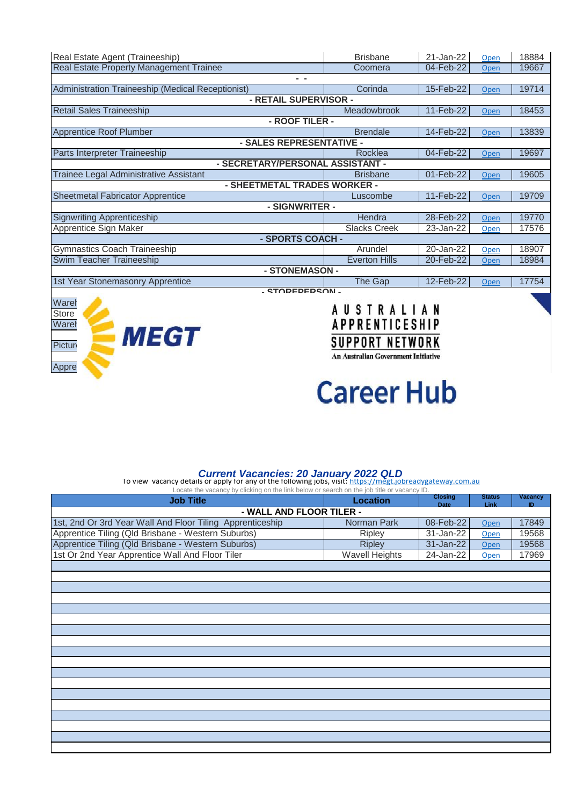| Real Estate Agent (Traineeship)                   | <b>Brisbane</b>       | 21-Jan-22 | Open | 18884 |  |  |
|---------------------------------------------------|-----------------------|-----------|------|-------|--|--|
| <b>Real Estate Property Management Trainee</b>    | Coomera               | 04-Feb-22 | Open | 19667 |  |  |
| - -                                               |                       |           |      |       |  |  |
| Administration Traineeship (Medical Receptionist) | Corinda               | 15-Feb-22 | Open | 19714 |  |  |
| - RETAIL SUPERVISOR -                             |                       |           |      |       |  |  |
| <b>Retail Sales Traineeship</b>                   | Meadowbrook           | 11-Feb-22 | Open | 18453 |  |  |
| - ROOF TILER -                                    |                       |           |      |       |  |  |
| <b>Apprentice Roof Plumber</b>                    | <b>Brendale</b>       | 14-Feb-22 | Open | 13839 |  |  |
| - SALES REPRESENTATIVE -                          |                       |           |      |       |  |  |
| Parts Interpreter Traineeship                     | Rocklea               | 04-Feb-22 | Open | 19697 |  |  |
| - SECRETARY/PERSONAL ASSISTANT -                  |                       |           |      |       |  |  |
| Trainee Legal Administrative Assistant            | <b>Brisbane</b>       | 01-Feb-22 | Open | 19605 |  |  |
| - SHEETMETAL TRADES WORKER -                      |                       |           |      |       |  |  |
| <b>Sheetmetal Fabricator Apprentice</b>           | Luscombe              | 11-Feb-22 | Open | 19709 |  |  |
|                                                   | - SIGNWRITER -        |           |      |       |  |  |
| <b>Signwriting Apprenticeship</b>                 | Hendra                | 28-Feb-22 | Open | 19770 |  |  |
| Apprentice Sign Maker                             | <b>Slacks Creek</b>   | 23-Jan-22 | Open | 17576 |  |  |
| - SPORTS COACH -                                  |                       |           |      |       |  |  |
| Gymnastics Coach Traineeship                      | Arundel               | 20-Jan-22 | Open | 18907 |  |  |
| Swim Teacher Traineeship                          | <b>Everton Hills</b>  | 20-Feb-22 | Open | 18984 |  |  |
| - STONEMASON -                                    |                       |           |      |       |  |  |
| 1st Year Stonemasonry Apprentice                  | The Gap               | 12-Feb-22 | Open | 17754 |  |  |
| - STOREPERSON -                                   |                       |           |      |       |  |  |
| Wareł                                             | <b>AUSTRALIAN</b>     |           |      |       |  |  |
| Store                                             |                       |           |      |       |  |  |
| Wareh                                             | <b>APPRENTICESHIP</b> |           |      |       |  |  |
| <b>MEGT</b>                                       |                       |           |      |       |  |  |
| Picture                                           | SUPPORT NETWORK       |           |      |       |  |  |

## Appre **Career Hub**

**An Australian Government Initiative** 

### *Current Vacancies: 20 January 2022 QLD* [To view vacancy details or apply for any of the following jobs, visit: h](https://megt.jobreadygateway.com.au/)ttps://megt.jobreadygateway.com.au

| Locate the vacancy by clicking on the link below or search on the job title or vacancy ID. |                       |                               |                       |               |  |  |
|--------------------------------------------------------------------------------------------|-----------------------|-------------------------------|-----------------------|---------------|--|--|
| <b>Job Title</b>                                                                           | <b>Location</b>       | <b>Closing</b><br><b>Date</b> | <b>Status</b><br>Link | Vacancy<br>ID |  |  |
| - WALL AND FLOOR TILER -                                                                   |                       |                               |                       |               |  |  |
| 1st, 2nd Or 3rd Year Wall And Floor Tiling Apprenticeship                                  | Norman Park           | 08-Feb-22                     | Open                  | 17849         |  |  |
| Apprentice Tiling (Qld Brisbane - Western Suburbs)                                         | Ripley                | 31-Jan-22                     | Open                  | 19568         |  |  |
| Apprentice Tiling (Qld Brisbane - Western Suburbs)                                         | <b>Ripley</b>         | 31-Jan-22                     | Open                  | 19568         |  |  |
| 1st Or 2nd Year Apprentice Wall And Floor Tiler                                            | <b>Wavell Heights</b> | 24-Jan-22                     | Open                  | 17969         |  |  |
|                                                                                            |                       |                               |                       |               |  |  |
|                                                                                            |                       |                               |                       |               |  |  |
|                                                                                            |                       |                               |                       |               |  |  |
|                                                                                            |                       |                               |                       |               |  |  |
|                                                                                            |                       |                               |                       |               |  |  |
|                                                                                            |                       |                               |                       |               |  |  |
|                                                                                            |                       |                               |                       |               |  |  |
|                                                                                            |                       |                               |                       |               |  |  |
|                                                                                            |                       |                               |                       |               |  |  |
|                                                                                            |                       |                               |                       |               |  |  |
|                                                                                            |                       |                               |                       |               |  |  |
|                                                                                            |                       |                               |                       |               |  |  |
|                                                                                            |                       |                               |                       |               |  |  |
|                                                                                            |                       |                               |                       |               |  |  |
|                                                                                            |                       |                               |                       |               |  |  |
|                                                                                            |                       |                               |                       |               |  |  |
|                                                                                            |                       |                               |                       |               |  |  |
|                                                                                            |                       |                               |                       |               |  |  |